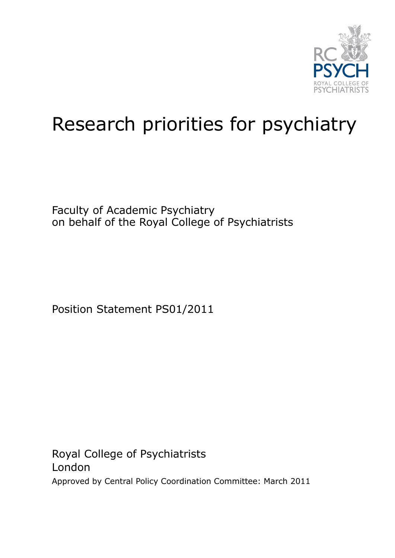

## Research priorities for psychiatry

Faculty of Academic Psychiatry on behalf of the Royal College of Psychiatrists

Position Statement PS01/2011

Royal College of Psychiatrists London Approved by Central Policy Coordination Committee: March 2011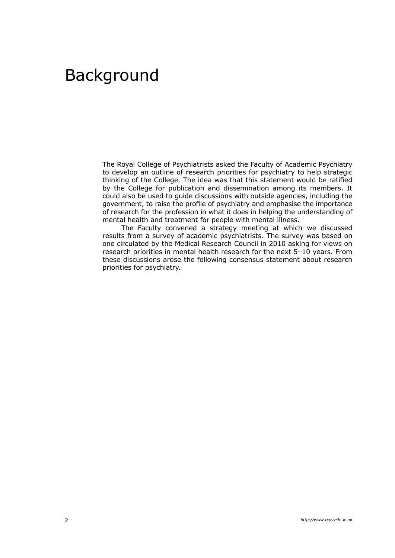## Background

The Royal College of Psychiatrists asked the Faculty of Academic Psychiatry to develop an outline of research priorities for psychiatry to help strategic thinking of the College. The idea was that this statement would be ratified by the College for publication and dissemination among its members. It could also be used to guide discussions with outside agencies, including the government, to raise the profile of psychiatry and emphasise the importance of research for the profession in what it does in helping the understanding of mental health and treatment for people with mental illness.

The Faculty convened a strategy meeting at which we discussed results from a survey of academic psychiatrists. The survey was based on one circulated by the Medical Research Council in 2010 asking for views on research priorities in mental health research for the next 5–10 years. From these discussions arose the following consensus statement about research priorities for psychiatry.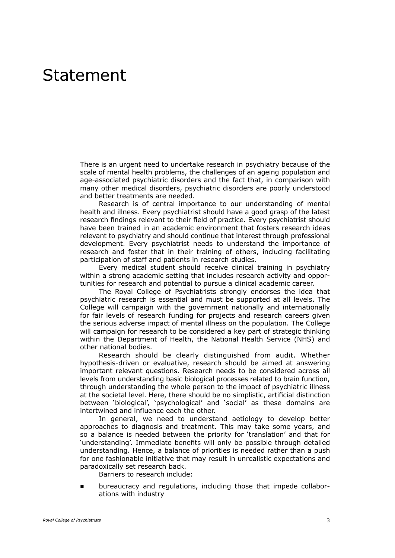## Statement

There is an urgent need to undertake research in psychiatry because of the scale of mental health problems, the challenges of an ageing population and age-associated psychiatric disorders and the fact that, in comparison with many other medical disorders, psychiatric disorders are poorly understood and better treatments are needed.

Research is of central importance to our understanding of mental health and illness. Every psychiatrist should have a good grasp of the latest research findings relevant to their field of practice. Every psychiatrist should have been trained in an academic environment that fosters research ideas relevant to psychiatry and should continue that interest through professional development. Every psychiatrist needs to understand the importance of research and foster that in their training of others, including facilitating participation of staff and patients in research studies.

Every medical student should receive clinical training in psychiatry within a strong academic setting that includes research activity and opportunities for research and potential to pursue a clinical academic career.

The Royal College of Psychiatrists strongly endorses the idea that psychiatric research is essential and must be supported at all levels. The College will campaign with the government nationally and internationally for fair levels of research funding for projects and research careers given the serious adverse impact of mental illness on the population. The College will campaign for research to be considered a key part of strategic thinking within the Department of Health, the National Health Service (NHS) and other national bodies.

Research should be clearly distinguished from audit. Whether hypothesis-driven or evaluative, research should be aimed at answering important relevant questions. Research needs to be considered across all levels from understanding basic biological processes related to brain function, through understanding the whole person to the impact of psychiatric illness at the societal level. Here, there should be no simplistic, artificial distinction between 'biological', 'psychological' and 'social' as these domains are intertwined and influence each the other.

In general, we need to understand aetiology to develop better approaches to diagnosis and treatment. This may take some years, and so a balance is needed between the priority for 'translation' and that for 'understanding'. Immediate benefits will only be possible through detailed understanding. Hence, a balance of priorities is needed rather than a push for one fashionable initiative that may result in unrealistic expectations and paradoxically set research back.

Barriers to research include:

 bureaucracy and regulations, including those that impede collaborations with industry